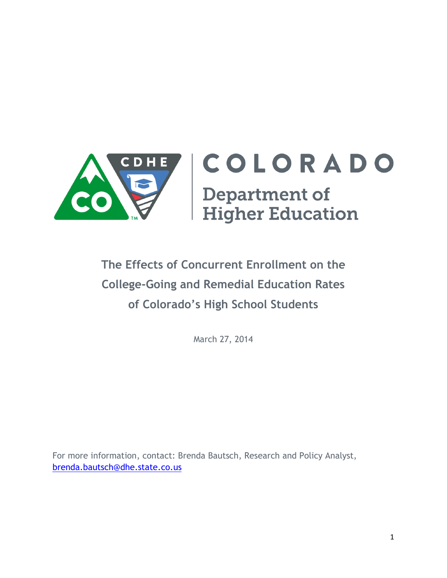

# **The Effects of Concurrent Enrollment on the College-Going and Remedial Education Rates of Colorado's High School Students**

March 27, 2014

For more information, contact: Brenda Bautsch, Research and Policy Analyst, [brenda.bautsch@dhe.state.co.us](mailto:brenda.bautsch@dhe.state.co.us)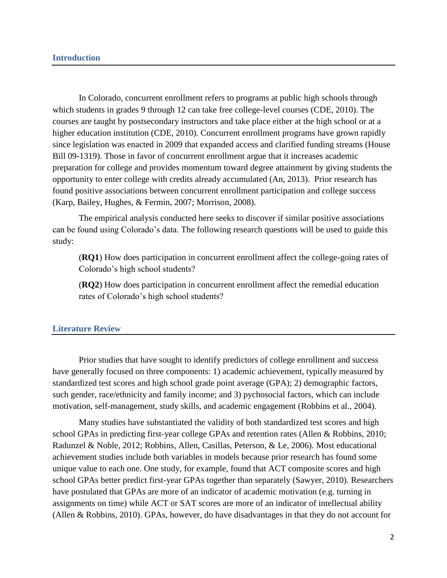In Colorado, concurrent enrollment refers to programs at public high schools through which students in grades 9 through 12 can take free college-level courses (CDE, 2010). The courses are taught by postsecondary instructors and take place either at the high school or at a higher education institution (CDE, 2010). Concurrent enrollment programs have grown rapidly since legislation was enacted in 2009 that expanded access and clarified funding streams (House Bill 09-1319). Those in favor of concurrent enrollment argue that it increases academic preparation for college and provides momentum toward degree attainment by giving students the opportunity to enter college with credits already accumulated (An, 2013). Prior research has found positive associations between concurrent enrollment participation and college success (Karp, Bailey, Hughes, & Fermin, 2007; Morrison, 2008).

The empirical analysis conducted here seeks to discover if similar positive associations can be found using Colorado's data. The following research questions will be used to guide this study:

(**RQ1**) How does participation in concurrent enrollment affect the college-going rates of Colorado's high school students?

(**RQ2**) How does participation in concurrent enrollment affect the remedial education rates of Colorado's high school students?

## **Literature Review**

Prior studies that have sought to identify predictors of college enrollment and success have generally focused on three components: 1) academic achievement, typically measured by standardized test scores and high school grade point average (GPA); 2) demographic factors, such gender, race/ethnicity and family income; and 3) pychosocial factors, which can include motivation, self-management, study skills, and academic engagement (Robbins et al., 2004).

Many studies have substantiated the validity of both standardized test scores and high school GPAs in predicting first-year college GPAs and retention rates (Allen & Robbins, 2010; Radunzel & Noble, 2012; Robbins, Allen, Casillas, Peterson, & Le, 2006). Most educational achievement studies include both variables in models because prior research has found some unique value to each one. One study, for example, found that ACT composite scores and high school GPAs better predict first-year GPAs together than separately (Sawyer, 2010). Researchers have postulated that GPAs are more of an indicator of academic motivation (e.g. turning in assignments on time) while ACT or SAT scores are more of an indicator of intellectual ability (Allen & Robbins, 2010). GPAs, however, do have disadvantages in that they do not account for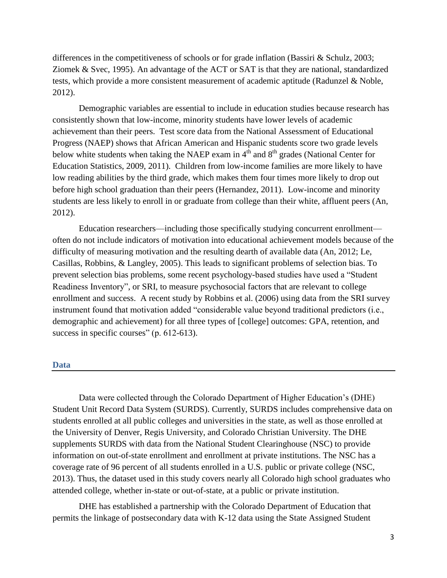differences in the competitiveness of schools or for grade inflation (Bassiri  $\&$  Schulz, 2003; Ziomek & Svec, 1995). An advantage of the ACT or SAT is that they are national, standardized tests, which provide a more consistent measurement of academic aptitude (Radunzel & Noble, 2012).

Demographic variables are essential to include in education studies because research has consistently shown that low-income, minority students have lower levels of academic achievement than their peers. Test score data from the National Assessment of Educational Progress (NAEP) shows that African American and Hispanic students score two grade levels below white students when taking the NAEP exam in  $4<sup>th</sup>$  and  $8<sup>th</sup>$  grades (National Center for Education Statistics, 2009, 2011). Children from low-income families are more likely to have low reading abilities by the third grade, which makes them four times more likely to drop out before high school graduation than their peers (Hernandez, 2011). Low-income and minority students are less likely to enroll in or graduate from college than their white, affluent peers (An, 2012).

Education researchers—including those specifically studying concurrent enrollment often do not include indicators of motivation into educational achievement models because of the difficulty of measuring motivation and the resulting dearth of available data (An, 2012; Le, Casillas, Robbins, & Langley, 2005). This leads to significant problems of selection bias. To prevent selection bias problems, some recent psychology-based studies have used a "Student Readiness Inventory", or SRI, to measure psychosocial factors that are relevant to college enrollment and success. A recent study by Robbins et al. (2006) using data from the SRI survey instrument found that motivation added "considerable value beyond traditional predictors (i.e., demographic and achievement) for all three types of [college] outcomes: GPA, retention, and success in specific courses" (p. 612-613).

## **Data**

Data were collected through the Colorado Department of Higher Education's (DHE) Student Unit Record Data System (SURDS). Currently, SURDS includes comprehensive data on students enrolled at all public colleges and universities in the state, as well as those enrolled at the University of Denver, Regis University, and Colorado Christian University. The DHE supplements SURDS with data from the National Student Clearinghouse (NSC) to provide information on out-of-state enrollment and enrollment at private institutions. The NSC has a coverage rate of 96 percent of all students enrolled in a U.S. public or private college (NSC, 2013). Thus, the dataset used in this study covers nearly all Colorado high school graduates who attended college, whether in-state or out-of-state, at a public or private institution.

DHE has established a partnership with the Colorado Department of Education that permits the linkage of postsecondary data with K-12 data using the State Assigned Student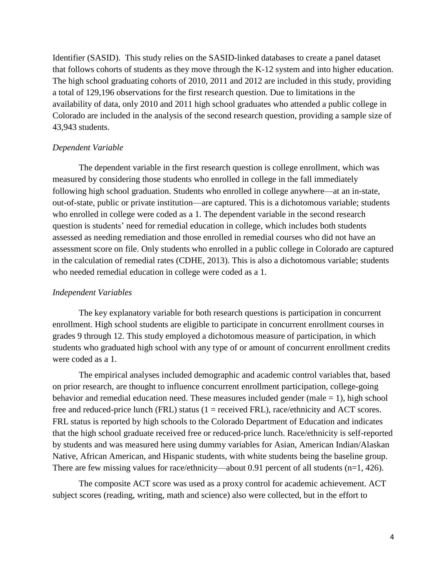Identifier (SASID). This study relies on the SASID-linked databases to create a panel dataset that follows cohorts of students as they move through the K-12 system and into higher education. The high school graduating cohorts of 2010, 2011 and 2012 are included in this study, providing a total of 129,196 observations for the first research question. Due to limitations in the availability of data, only 2010 and 2011 high school graduates who attended a public college in Colorado are included in the analysis of the second research question, providing a sample size of 43,943 students.

#### *Dependent Variable*

The dependent variable in the first research question is college enrollment, which was measured by considering those students who enrolled in college in the fall immediately following high school graduation. Students who enrolled in college anywhere—at an in-state, out-of-state, public or private institution—are captured. This is a dichotomous variable; students who enrolled in college were coded as a 1. The dependent variable in the second research question is students' need for remedial education in college, which includes both students assessed as needing remediation and those enrolled in remedial courses who did not have an assessment score on file. Only students who enrolled in a public college in Colorado are captured in the calculation of remedial rates (CDHE, 2013). This is also a dichotomous variable; students who needed remedial education in college were coded as a 1.

# *Independent Variables*

The key explanatory variable for both research questions is participation in concurrent enrollment. High school students are eligible to participate in concurrent enrollment courses in grades 9 through 12. This study employed a dichotomous measure of participation, in which students who graduated high school with any type of or amount of concurrent enrollment credits were coded as a 1.

The empirical analyses included demographic and academic control variables that, based on prior research, are thought to influence concurrent enrollment participation, college-going behavior and remedial education need. These measures included gender (male  $= 1$ ), high school free and reduced-price lunch (FRL) status (1 = received FRL), race/ethnicity and ACT scores. FRL status is reported by high schools to the Colorado Department of Education and indicates that the high school graduate received free or reduced-price lunch. Race/ethnicity is self-reported by students and was measured here using dummy variables for Asian, American Indian/Alaskan Native, African American, and Hispanic students, with white students being the baseline group. There are few missing values for race/ethnicity—about 0.91 percent of all students (n=1, 426).

The composite ACT score was used as a proxy control for academic achievement. ACT subject scores (reading, writing, math and science) also were collected, but in the effort to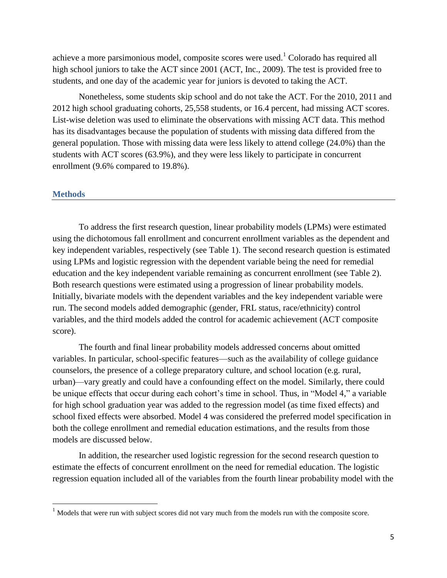achieve a more parsimonious model, composite scores were used.<sup>1</sup> Colorado has required all high school juniors to take the ACT since 2001 (ACT, Inc., 2009). The test is provided free to students, and one day of the academic year for juniors is devoted to taking the ACT.

Nonetheless, some students skip school and do not take the ACT. For the 2010, 2011 and 2012 high school graduating cohorts, 25,558 students, or 16.4 percent, had missing ACT scores. List-wise deletion was used to eliminate the observations with missing ACT data. This method has its disadvantages because the population of students with missing data differed from the general population. Those with missing data were less likely to attend college (24.0%) than the students with ACT scores (63.9%), and they were less likely to participate in concurrent enrollment (9.6% compared to 19.8%).

#### **Methods**

 $\overline{\phantom{a}}$ 

To address the first research question, linear probability models (LPMs) were estimated using the dichotomous fall enrollment and concurrent enrollment variables as the dependent and key independent variables, respectively (see Table 1). The second research question is estimated using LPMs and logistic regression with the dependent variable being the need for remedial education and the key independent variable remaining as concurrent enrollment (see Table 2). Both research questions were estimated using a progression of linear probability models. Initially, bivariate models with the dependent variables and the key independent variable were run. The second models added demographic (gender, FRL status, race/ethnicity) control variables, and the third models added the control for academic achievement (ACT composite score).

The fourth and final linear probability models addressed concerns about omitted variables. In particular, school-specific features—such as the availability of college guidance counselors, the presence of a college preparatory culture, and school location (e.g. rural, urban)—vary greatly and could have a confounding effect on the model. Similarly, there could be unique effects that occur during each cohort's time in school. Thus, in "Model 4," a variable for high school graduation year was added to the regression model (as time fixed effects) and school fixed effects were absorbed. Model 4 was considered the preferred model specification in both the college enrollment and remedial education estimations, and the results from those models are discussed below.

In addition, the researcher used logistic regression for the second research question to estimate the effects of concurrent enrollment on the need for remedial education. The logistic regression equation included all of the variables from the fourth linear probability model with the

<sup>&</sup>lt;sup>1</sup> Models that were run with subject scores did not vary much from the models run with the composite score.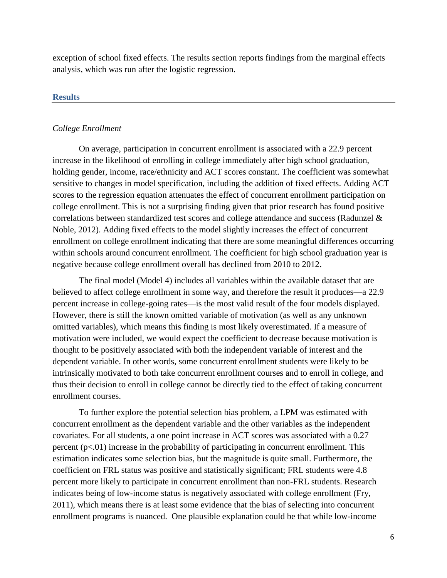exception of school fixed effects. The results section reports findings from the marginal effects analysis, which was run after the logistic regression.

# **Results**

# *College Enrollment*

On average, participation in concurrent enrollment is associated with a 22.9 percent increase in the likelihood of enrolling in college immediately after high school graduation, holding gender, income, race/ethnicity and ACT scores constant. The coefficient was somewhat sensitive to changes in model specification, including the addition of fixed effects. Adding ACT scores to the regression equation attenuates the effect of concurrent enrollment participation on college enrollment. This is not a surprising finding given that prior research has found positive correlations between standardized test scores and college attendance and success (Radunzel & Noble, 2012). Adding fixed effects to the model slightly increases the effect of concurrent enrollment on college enrollment indicating that there are some meaningful differences occurring within schools around concurrent enrollment. The coefficient for high school graduation year is negative because college enrollment overall has declined from 2010 to 2012.

The final model (Model 4) includes all variables within the available dataset that are believed to affect college enrollment in some way, and therefore the result it produces—a 22.9 percent increase in college-going rates—is the most valid result of the four models displayed. However, there is still the known omitted variable of motivation (as well as any unknown omitted variables), which means this finding is most likely overestimated. If a measure of motivation were included, we would expect the coefficient to decrease because motivation is thought to be positively associated with both the independent variable of interest and the dependent variable. In other words, some concurrent enrollment students were likely to be intrinsically motivated to both take concurrent enrollment courses and to enroll in college, and thus their decision to enroll in college cannot be directly tied to the effect of taking concurrent enrollment courses.

To further explore the potential selection bias problem, a LPM was estimated with concurrent enrollment as the dependent variable and the other variables as the independent covariates. For all students, a one point increase in ACT scores was associated with a 0.27 percent  $(p<0.01)$  increase in the probability of participating in concurrent enrollment. This estimation indicates some selection bias, but the magnitude is quite small. Furthermore, the coefficient on FRL status was positive and statistically significant; FRL students were 4.8 percent more likely to participate in concurrent enrollment than non-FRL students. Research indicates being of low-income status is negatively associated with college enrollment (Fry, 2011), which means there is at least some evidence that the bias of selecting into concurrent enrollment programs is nuanced. One plausible explanation could be that while low-income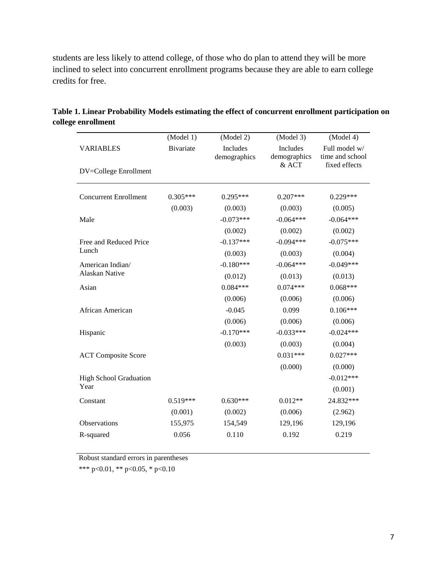students are less likely to attend college, of those who do plan to attend they will be more inclined to select into concurrent enrollment programs because they are able to earn college credits for free.

|                               | (Model 1)        | (Model 2)                | (Model 3)                | (Model 4)                        |
|-------------------------------|------------------|--------------------------|--------------------------|----------------------------------|
| <b>VARIABLES</b>              | <b>Bivariate</b> | Includes<br>demographics | Includes<br>demographics | Full model w/<br>time and school |
| DV=College Enrollment         |                  |                          | $&$ ACT                  | fixed effects                    |
| <b>Concurrent Enrollment</b>  | $0.305***$       | $0.295***$               | $0.207***$               | $0.229***$                       |
|                               | (0.003)          | (0.003)                  | (0.003)                  | (0.005)                          |
| Male                          |                  | $-0.073***$              | $-0.064***$              | $-0.064***$                      |
|                               |                  | (0.002)                  | (0.002)                  | (0.002)                          |
| Free and Reduced Price        |                  | $-0.137***$              | $-0.094***$              | $-0.075***$                      |
| Lunch                         |                  | (0.003)                  | (0.003)                  | (0.004)                          |
| American Indian/              |                  | $-0.180***$              | $-0.064***$              | $-0.049***$                      |
| Alaskan Native                |                  | (0.012)                  | (0.013)                  | (0.013)                          |
| Asian                         |                  | $0.084***$               | $0.074***$               | $0.068***$                       |
|                               |                  | (0.006)                  | (0.006)                  | (0.006)                          |
| African American              |                  | $-0.045$                 | 0.099                    | $0.106***$                       |
|                               |                  | (0.006)                  | (0.006)                  | (0.006)                          |
| Hispanic                      |                  | $-0.170***$              | $-0.033***$              | $-0.024***$                      |
|                               |                  | (0.003)                  | (0.003)                  | (0.004)                          |
| <b>ACT Composite Score</b>    |                  |                          | $0.031***$               | $0.027***$                       |
|                               |                  |                          | (0.000)                  | (0.000)                          |
| <b>High School Graduation</b> |                  |                          |                          | $-0.012***$                      |
| Year                          |                  |                          |                          | (0.001)                          |
| Constant                      | $0.519***$       | $0.630***$               | $0.012**$                | 24.832***                        |
|                               | (0.001)          | (0.002)                  | (0.006)                  | (2.962)                          |
| Observations                  | 155,975          | 154,549                  | 129,196                  | 129,196                          |
| R-squared                     | 0.056            | 0.110                    | 0.192                    | 0.219                            |
|                               |                  |                          |                          |                                  |

**Table 1. Linear Probability Models estimating the effect of concurrent enrollment participation on college enrollment**

Robust standard errors in parentheses

\*\*\* p<0.01, \*\* p<0.05, \* p<0.10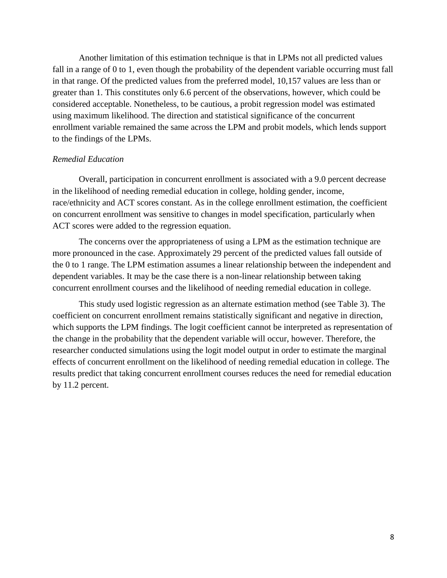Another limitation of this estimation technique is that in LPMs not all predicted values fall in a range of 0 to 1, even though the probability of the dependent variable occurring must fall in that range. Of the predicted values from the preferred model, 10,157 values are less than or greater than 1. This constitutes only 6.6 percent of the observations, however, which could be considered acceptable. Nonetheless, to be cautious, a probit regression model was estimated using maximum likelihood. The direction and statistical significance of the concurrent enrollment variable remained the same across the LPM and probit models, which lends support to the findings of the LPMs.

## *Remedial Education*

Overall, participation in concurrent enrollment is associated with a 9.0 percent decrease in the likelihood of needing remedial education in college, holding gender, income, race/ethnicity and ACT scores constant. As in the college enrollment estimation, the coefficient on concurrent enrollment was sensitive to changes in model specification, particularly when ACT scores were added to the regression equation.

The concerns over the appropriateness of using a LPM as the estimation technique are more pronounced in the case. Approximately 29 percent of the predicted values fall outside of the 0 to 1 range. The LPM estimation assumes a linear relationship between the independent and dependent variables. It may be the case there is a non-linear relationship between taking concurrent enrollment courses and the likelihood of needing remedial education in college.

This study used logistic regression as an alternate estimation method (see Table 3). The coefficient on concurrent enrollment remains statistically significant and negative in direction, which supports the LPM findings. The logit coefficient cannot be interpreted as representation of the change in the probability that the dependent variable will occur, however. Therefore, the researcher conducted simulations using the logit model output in order to estimate the marginal effects of concurrent enrollment on the likelihood of needing remedial education in college. The results predict that taking concurrent enrollment courses reduces the need for remedial education by 11.2 percent.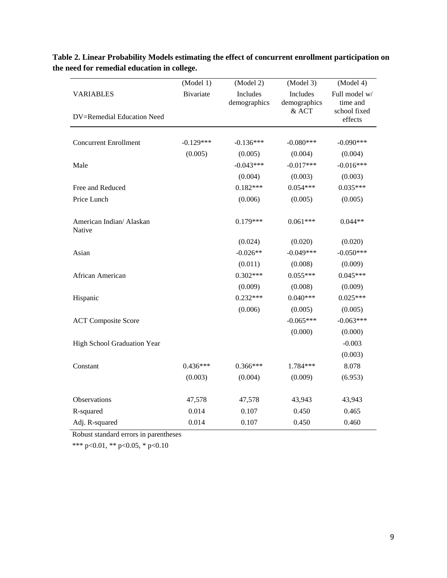|                                    | (Model 1)        | (Model 2)                       | (Model 3)                | (Model 4)                 |
|------------------------------------|------------------|---------------------------------|--------------------------|---------------------------|
| <b>VARIABLES</b>                   | <b>Bivariate</b> | <b>Includes</b><br>demographics | Includes<br>demographics | Full model w/<br>time and |
| DV=Remedial Education Need         |                  |                                 | & ACT                    | school fixed<br>effects   |
|                                    |                  |                                 |                          |                           |
| <b>Concurrent Enrollment</b>       | $-0.129***$      | $-0.136***$                     | $-0.080***$              | $-0.090***$               |
|                                    | (0.005)          | (0.005)                         | (0.004)                  | (0.004)                   |
| Male                               |                  | $-0.043***$                     | $-0.017***$              | $-0.016***$               |
|                                    |                  | (0.004)                         | (0.003)                  | (0.003)                   |
| Free and Reduced                   |                  | $0.182***$                      | $0.054***$               | $0.035***$                |
| Price Lunch                        |                  | (0.006)                         | (0.005)                  | (0.005)                   |
| American Indian/ Alaskan<br>Native |                  | $0.179***$                      | $0.061***$               | $0.044**$                 |
|                                    |                  | (0.024)                         | (0.020)                  | (0.020)                   |
| Asian                              |                  | $-0.026**$                      | $-0.049***$              | $-0.050***$               |
|                                    |                  | (0.011)                         | (0.008)                  | (0.009)                   |
| African American                   |                  | $0.302***$                      | $0.055***$               | $0.045***$                |
|                                    |                  | (0.009)                         | (0.008)                  | (0.009)                   |
| Hispanic                           |                  | $0.232***$                      | $0.040***$               | $0.025***$                |
|                                    |                  | (0.006)                         | (0.005)                  | (0.005)                   |
| <b>ACT Composite Score</b>         |                  |                                 | $-0.065***$              | $-0.063***$               |
|                                    |                  |                                 | (0.000)                  | (0.000)                   |
| High School Graduation Year        |                  |                                 |                          | $-0.003$                  |
|                                    |                  |                                 |                          | (0.003)                   |
| Constant                           | $0.436***$       | $0.366***$                      | 1.784***                 | 8.078                     |
|                                    | (0.003)          | (0.004)                         | (0.009)                  | (6.953)                   |
| Observations                       | 47,578           | 47,578                          | 43,943                   | 43,943                    |
| R-squared                          | 0.014            | 0.107                           | 0.450                    | 0.465                     |
| Adj. R-squared                     | 0.014            | 0.107                           | 0.450                    | 0.460                     |

**Table 2. Linear Probability Models estimating the effect of concurrent enrollment participation on the need for remedial education in college.**

Robust standard errors in parentheses

\*\*\* p<0.01, \*\* p<0.05, \* p<0.10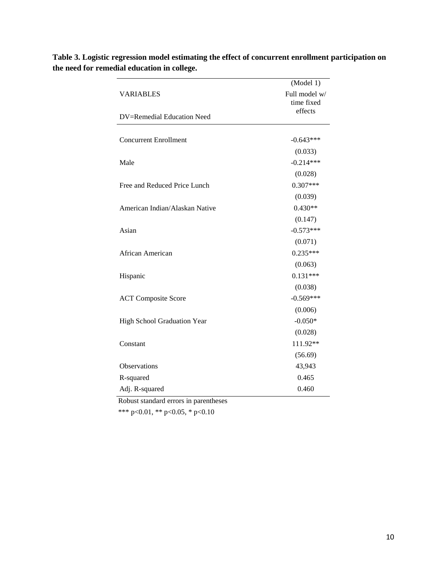|                                | (Model 1)                   |
|--------------------------------|-----------------------------|
| <b>VARIABLES</b>               | Full model w/<br>time fixed |
| DV=Remedial Education Need     | effects                     |
| <b>Concurrent Enrollment</b>   | $-0.643***$                 |
|                                | (0.033)                     |
| Male                           | $-0.214***$                 |
|                                | (0.028)                     |
| Free and Reduced Price Lunch   | $0.307***$                  |
|                                | (0.039)                     |
| American Indian/Alaskan Native | $0.430**$                   |
|                                | (0.147)                     |
| Asian                          | $-0.573***$                 |
|                                | (0.071)                     |
| African American               | $0.235***$                  |
|                                | (0.063)                     |
| Hispanic                       | $0.131***$                  |
|                                | (0.038)                     |
| <b>ACT Composite Score</b>     | $-0.569***$                 |
|                                | (0.006)                     |
| High School Graduation Year    | $-0.050*$                   |
|                                | (0.028)                     |
| Constant                       | 111.92**                    |
|                                | (56.69)                     |
| <b>Observations</b>            | 43,943                      |
| R-squared                      | 0.465                       |
| Adj. R-squared                 | 0.460                       |

**Table 3. Logistic regression model estimating the effect of concurrent enrollment participation on the need for remedial education in college.**

Robust standard errors in parentheses

\*\*\* p<0.01, \*\* p<0.05, \* p<0.10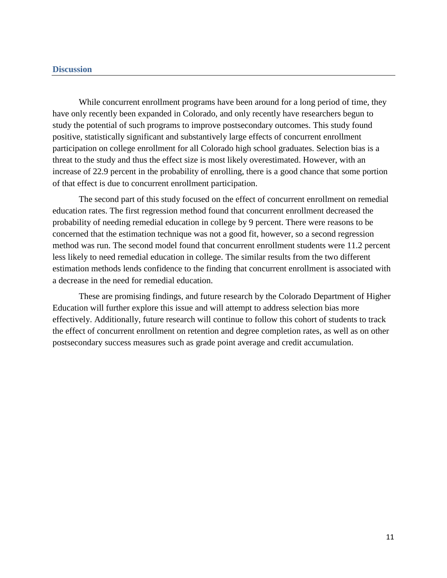# **Discussion**

While concurrent enrollment programs have been around for a long period of time, they have only recently been expanded in Colorado, and only recently have researchers begun to study the potential of such programs to improve postsecondary outcomes. This study found positive, statistically significant and substantively large effects of concurrent enrollment participation on college enrollment for all Colorado high school graduates. Selection bias is a threat to the study and thus the effect size is most likely overestimated. However, with an increase of 22.9 percent in the probability of enrolling, there is a good chance that some portion of that effect is due to concurrent enrollment participation.

The second part of this study focused on the effect of concurrent enrollment on remedial education rates. The first regression method found that concurrent enrollment decreased the probability of needing remedial education in college by 9 percent. There were reasons to be concerned that the estimation technique was not a good fit, however, so a second regression method was run. The second model found that concurrent enrollment students were 11.2 percent less likely to need remedial education in college. The similar results from the two different estimation methods lends confidence to the finding that concurrent enrollment is associated with a decrease in the need for remedial education.

These are promising findings, and future research by the Colorado Department of Higher Education will further explore this issue and will attempt to address selection bias more effectively. Additionally, future research will continue to follow this cohort of students to track the effect of concurrent enrollment on retention and degree completion rates, as well as on other postsecondary success measures such as grade point average and credit accumulation.